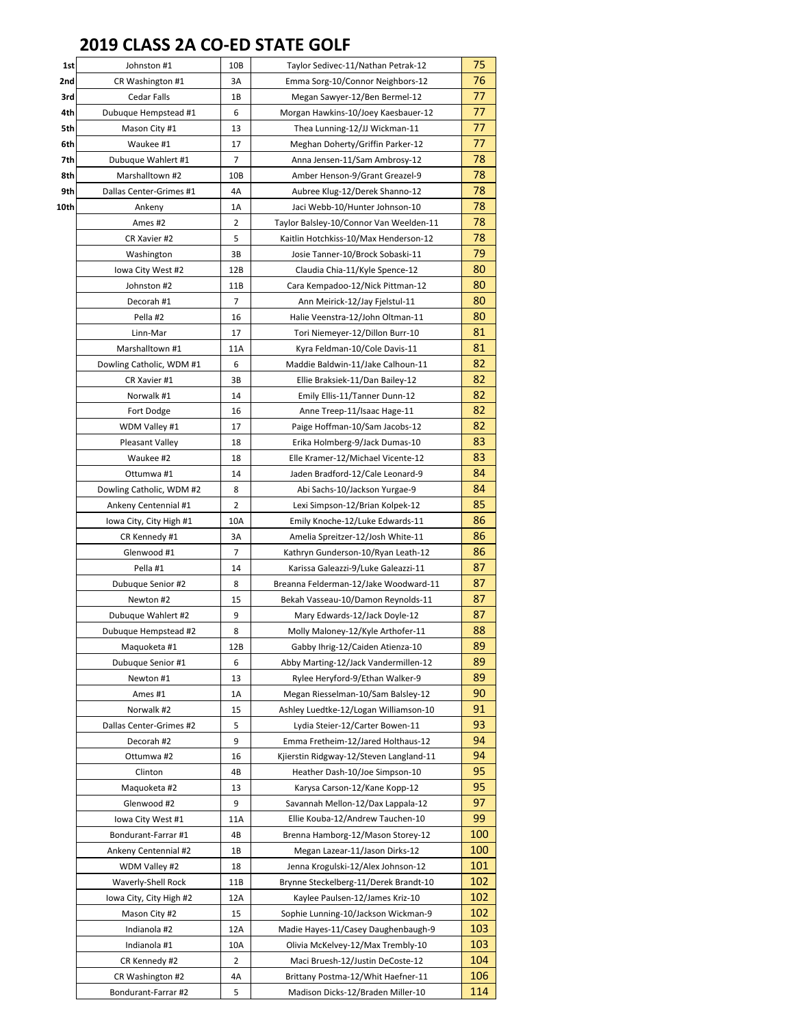## **2019 CLASS 2A CO-ED STATE GOLF**

| 1st  | Johnston #1              | 10B | Taylor Sedivec-11/Nathan Petrak-12      | 75  |
|------|--------------------------|-----|-----------------------------------------|-----|
| 2nd  | CR Washington #1         | 3A  | Emma Sorg-10/Connor Neighbors-12        | 76  |
| 3rd  | Cedar Falls              | 1B  | Megan Sawyer-12/Ben Bermel-12           | 77  |
| 4th  | Dubuque Hempstead #1     | 6   | Morgan Hawkins-10/Joey Kaesbauer-12     | 77  |
| 5th  | Mason City #1            | 13  | Thea Lunning-12/JJ Wickman-11           | 77  |
| 6th  | Waukee #1                | 17  | Meghan Doherty/Griffin Parker-12        | 77  |
| 7th  | Dubuque Wahlert #1       | 7   | Anna Jensen-11/Sam Ambrosy-12           | 78  |
| 8th  | Marshalltown #2          | 10B | Amber Henson-9/Grant Greazel-9          | 78  |
| 9th  | Dallas Center-Grimes #1  | 4A  | Aubree Klug-12/Derek Shanno-12          | 78  |
| 10th | Ankeny                   | 1A  | Jaci Webb-10/Hunter Johnson-10          | 78  |
|      | Ames #2                  | 2   | Taylor Balsley-10/Connor Van Weelden-11 | 78  |
|      | CR Xavier #2             | 5   | Kaitlin Hotchkiss-10/Max Henderson-12   | 78  |
|      | Washington               | 3B  | Josie Tanner-10/Brock Sobaski-11        | 79  |
|      | lowa City West #2        | 12B | Claudia Chia-11/Kyle Spence-12          | 80  |
|      | Johnston #2              | 11B | Cara Kempadoo-12/Nick Pittman-12        | 80  |
|      | Decorah #1               | 7   | Ann Meirick-12/Jay Fjelstul-11          | 80  |
|      | Pella #2                 | 16  | Halie Veenstra-12/John Oltman-11        | 80  |
|      | Linn-Mar                 | 17  | Tori Niemeyer-12/Dillon Burr-10         | 81  |
|      | Marshalltown #1          | 11A | Kyra Feldman-10/Cole Davis-11           | 81  |
|      | Dowling Catholic, WDM #1 | 6   | Maddie Baldwin-11/Jake Calhoun-11       | 82  |
|      | CR Xavier #1             | зв  | Ellie Braksiek-11/Dan Bailey-12         | 82  |
|      | Norwalk #1               | 14  | Emily Ellis-11/Tanner Dunn-12           | 82  |
|      | Fort Dodge               | 16  | Anne Treep-11/Isaac Hage-11             | 82  |
|      | WDM Valley #1            | 17  | Paige Hoffman-10/Sam Jacobs-12          | 82  |
|      | Pleasant Valley          | 18  | Erika Holmberg-9/Jack Dumas-10          | 83  |
|      | Waukee #2                | 18  | Elle Kramer-12/Michael Vicente-12       | 83  |
|      | Ottumwa #1               | 14  | Jaden Bradford-12/Cale Leonard-9        | 84  |
|      | Dowling Catholic, WDM #2 | 8   | Abi Sachs-10/Jackson Yurgae-9           | 84  |
|      | Ankeny Centennial #1     | 2   | Lexi Simpson-12/Brian Kolpek-12         | 85  |
|      | Iowa City, City High #1  | 10A | Emily Knoche-12/Luke Edwards-11         | 86  |
|      | CR Kennedy #1            | 3A  | Amelia Spreitzer-12/Josh White-11       | 86  |
|      | Glenwood #1              | 7   | Kathryn Gunderson-10/Ryan Leath-12      | 86  |
|      | Pella #1                 | 14  | Karissa Galeazzi-9/Luke Galeazzi-11     | 87  |
|      | Dubuque Senior #2        | 8   | Breanna Felderman-12/Jake Woodward-11   | 87  |
|      | Newton #2                | 15  | Bekah Vasseau-10/Damon Reynolds-11      | 87  |
|      | Dubuque Wahlert #2       | 9   | Mary Edwards-12/Jack Doyle-12           | 87  |
|      | Dubuque Hempstead #2     | 8   | Molly Maloney-12/Kyle Arthofer-11       | 88  |
|      | Maquoketa #1             | 12B | Gabby Ihrig-12/Caiden Atienza-10        | 89  |
|      | Dubuque Senior #1        | 6   | Abby Marting-12/Jack Vandermillen-12    | 89  |
|      | Newton #1                | 13  | Rylee Heryford-9/Ethan Walker-9         | 89  |
|      | Ames #1                  | 1A  | Megan Riesselman-10/Sam Balsley-12      | 90  |
|      | Norwalk #2               | 15  | Ashley Luedtke-12/Logan Williamson-10   | 91  |
|      | Dallas Center-Grimes #2  | 5   | Lydia Steier-12/Carter Bowen-11         | 93  |
|      | Decorah #2               | 9   | Emma Fretheim-12/Jared Holthaus-12      | 94  |
|      | Ottumwa #2               | 16  | Kjierstin Ridgway-12/Steven Langland-11 | 94  |
|      | Clinton                  | 4B  | Heather Dash-10/Joe Simpson-10          | 95  |
|      | Maquoketa #2             | 13  | Karysa Carson-12/Kane Kopp-12           | 95  |
|      | Glenwood #2              | 9   | Savannah Mellon-12/Dax Lappala-12       | 97  |
|      | Iowa City West #1        | 11A | Ellie Kouba-12/Andrew Tauchen-10        | 99  |
|      | Bondurant-Farrar #1      | 4B  | Brenna Hamborg-12/Mason Storey-12       | 100 |
|      | Ankeny Centennial #2     | 1B  | Megan Lazear-11/Jason Dirks-12          | 100 |
|      | WDM Valley #2            | 18  | Jenna Krogulski-12/Alex Johnson-12      | 101 |
|      | Waverly-Shell Rock       | 11B | Brynne Steckelberg-11/Derek Brandt-10   | 102 |
|      | Iowa City, City High #2  | 12A | Kaylee Paulsen-12/James Kriz-10         | 102 |
|      | Mason City #2            | 15  | Sophie Lunning-10/Jackson Wickman-9     | 102 |
|      | Indianola #2             | 12A | Madie Hayes-11/Casey Daughenbaugh-9     | 103 |
|      | Indianola #1             | 10A | Olivia McKelvey-12/Max Trembly-10       | 103 |
|      | CR Kennedy #2            | 2   | Maci Bruesh-12/Justin DeCoste-12        | 104 |
|      | CR Washington #2         | 4A  | Brittany Postma-12/Whit Haefner-11      | 106 |
|      | Bondurant-Farrar #2      | 5   | Madison Dicks-12/Braden Miller-10       | 114 |